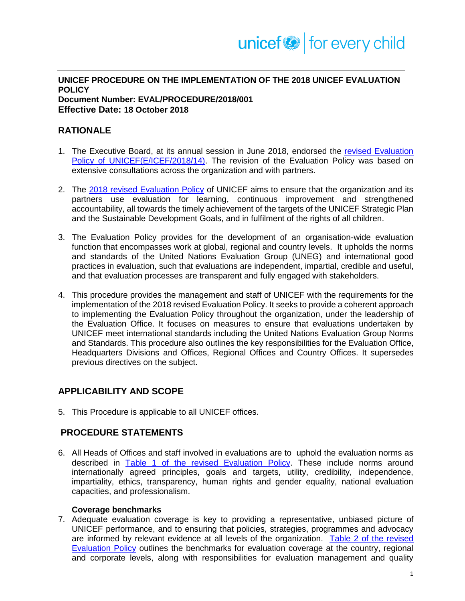#### **UNICEF PROCEDURE ON THE IMPLEMENTATION OF THE 2018 UNICEF EVALUATION POLICY Document Number: EVAL/PROCEDURE/2018/001**

**Effective Date: 18 October 2018**

# **RATIONALE**

- 1. The Executive Board, at its annual session in June 2018, endorsed the [revised Evaluation](https://www.unicef.org/about/execboard/files/2018-14-Revised_Eval-ODS-EN.pdf)  [Policy of UNICEF\(E/ICEF/2018/14\).](https://www.unicef.org/about/execboard/files/2018-14-Revised_Eval-ODS-EN.pdf) The revision of the Evaluation Policy was based on extensive consultations across the organization and with partners.
- 2. The [2018 revised Evaluation Policy](https://www.unicef.org/about/execboard/files/2018-14-Revised_Eval-ODS-EN.pdf) of UNICEF aims to ensure that the organization and its partners use evaluation for learning, continuous improvement and strengthened accountability, all towards the timely achievement of the targets of the UNICEF Strategic Plan and the Sustainable Development Goals, and in fulfilment of the rights of all children.
- 3. The Evaluation Policy provides for the development of an organisation-wide evaluation function that encompasses work at global, regional and country levels. It upholds the norms and standards of the United Nations Evaluation Group (UNEG) and international good practices in evaluation, such that evaluations are independent, impartial, credible and useful, and that evaluation processes are transparent and fully engaged with stakeholders.
- 4. This procedure provides the management and staff of UNICEF with the requirements for the implementation of the 2018 revised Evaluation Policy. It seeks to provide a coherent approach to implementing the Evaluation Policy throughout the organization, under the leadership of the Evaluation Office. It focuses on measures to ensure that evaluations undertaken by UNICEF meet international standards including the United Nations Evaluation Group Norms and Standards. This procedure also outlines the key responsibilities for the Evaluation Office, Headquarters Divisions and Offices, Regional Offices and Country Offices. It supersedes previous directives on the subject.

# **APPLICABILITY AND SCOPE**

5. This Procedure is applicable to all UNICEF offices.

## **PROCEDURE STATEMENTS**

6. All Heads of Offices and staff involved in evaluations are to uphold the evaluation norms as described in [Table 1 of the revised Evaluation Policy.](https://www.unicef.org/about/execboard/files/2018-14-Revised_Eval-ODS-EN.pdf) These include norms around internationally agreed principles, goals and targets, utility, credibility, independence, impartiality, ethics, transparency, human rights and gender equality, national evaluation capacities, and professionalism.

#### **Coverage benchmarks**

7. Adequate evaluation coverage is key to providing a representative, unbiased picture of UNICEF performance, and to ensuring that policies, strategies, programmes and advocacy are informed by relevant evidence at all levels of the organization. [Table 2 of the revised](https://www.unicef.org/about/execboard/files/2018-14-Revised_Eval-ODS-EN.pdf) [Evaluation Policy](https://www.unicef.org/about/execboard/files/2018-14-Revised_Eval-ODS-EN.pdf) outlines the benchmarks for evaluation coverage at the country, regional and corporate levels, along with responsibilities for evaluation management and quality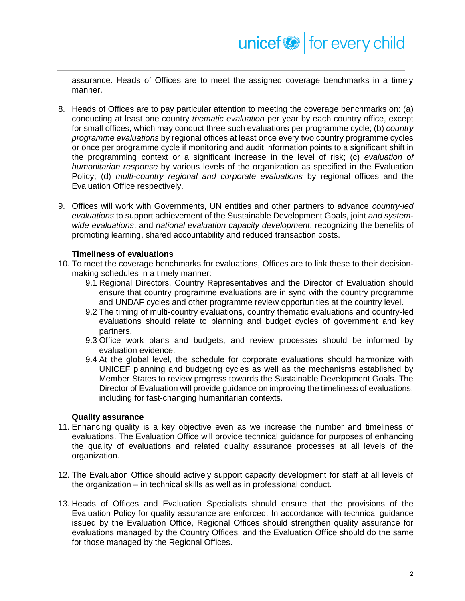assurance. Heads of Offices are to meet the assigned coverage benchmarks in a timely manner.

- 8. Heads of Offices are to pay particular attention to meeting the coverage benchmarks on: (a) conducting at least one country *thematic evaluation* per year by each country office, except for small offices, which may conduct three such evaluations per programme cycle; (b) *country programme evaluations* by regional offices at least once every two country programme cycles or once per programme cycle if monitoring and audit information points to a significant shift in the programming context or a significant increase in the level of risk; (c) *evaluation of humanitarian response* by various levels of the organization as specified in the Evaluation Policy; (d) *multi-country regional and corporate evaluations* by regional offices and the Evaluation Office respectively.
- 9. Offices will work with Governments, UN entities and other partners to advance *country-led evaluations* to support achievement of the Sustainable Development Goals, joint *and systemwide evaluations*, and *national evaluation capacity development*, recognizing the benefits of promoting learning, shared accountability and reduced transaction costs.

### **Timeliness of evaluations**

- 10. To meet the coverage benchmarks for evaluations, Offices are to link these to their decisionmaking schedules in a timely manner:
	- 9.1 Regional Directors, Country Representatives and the Director of Evaluation should ensure that country programme evaluations are in sync with the country programme and UNDAF cycles and other programme review opportunities at the country level.
	- 9.2 The timing of multi-country evaluations, country thematic evaluations and country-led evaluations should relate to planning and budget cycles of government and key partners.
	- 9.3 Office work plans and budgets, and review processes should be informed by evaluation evidence.
	- 9.4 At the global level, the schedule for corporate evaluations should harmonize with UNICEF planning and budgeting cycles as well as the mechanisms established by Member States to review progress towards the Sustainable Development Goals. The Director of Evaluation will provide guidance on improving the timeliness of evaluations, including for fast-changing humanitarian contexts.

#### **Quality assurance**

- 11. Enhancing quality is a key objective even as we increase the number and timeliness of evaluations. The Evaluation Office will provide technical guidance for purposes of enhancing the quality of evaluations and related quality assurance processes at all levels of the organization.
- 12. The Evaluation Office should actively support capacity development for staff at all levels of the organization – in technical skills as well as in professional conduct.
- 13. Heads of Offices and Evaluation Specialists should ensure that the provisions of the Evaluation Policy for quality assurance are enforced. In accordance with technical guidance issued by the Evaluation Office, Regional Offices should strengthen quality assurance for evaluations managed by the Country Offices, and the Evaluation Office should do the same for those managed by the Regional Offices.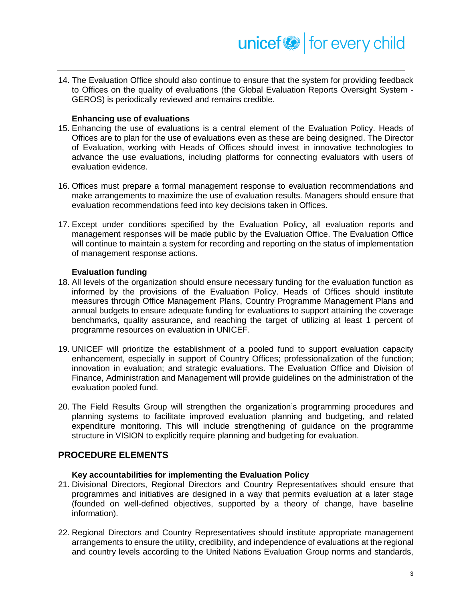14. The Evaluation Office should also continue to ensure that the system for providing feedback to Offices on the quality of evaluations (the Global Evaluation Reports Oversight System - GEROS) is periodically reviewed and remains credible.

### **Enhancing use of evaluations**

- 15. Enhancing the use of evaluations is a central element of the Evaluation Policy. Heads of Offices are to plan for the use of evaluations even as these are being designed. The Director of Evaluation, working with Heads of Offices should invest in innovative technologies to advance the use evaluations, including platforms for connecting evaluators with users of evaluation evidence.
- 16. Offices must prepare a formal management response to evaluation recommendations and make arrangements to maximize the use of evaluation results. Managers should ensure that evaluation recommendations feed into key decisions taken in Offices.
- 17. Except under conditions specified by the Evaluation Policy, all evaluation reports and management responses will be made public by the Evaluation Office. The Evaluation Office will continue to maintain a system for recording and reporting on the status of implementation of management response actions.

#### **Evaluation funding**

- 18. All levels of the organization should ensure necessary funding for the evaluation function as informed by the provisions of the Evaluation Policy. Heads of Offices should institute measures through Office Management Plans, Country Programme Management Plans and annual budgets to ensure adequate funding for evaluations to support attaining the coverage benchmarks, quality assurance, and reaching the target of utilizing at least 1 percent of programme resources on evaluation in UNICEF.
- 19. UNICEF will prioritize the establishment of a pooled fund to support evaluation capacity enhancement, especially in support of Country Offices; professionalization of the function; innovation in evaluation; and strategic evaluations. The Evaluation Office and Division of Finance, Administration and Management will provide guidelines on the administration of the evaluation pooled fund.
- 20. The Field Results Group will strengthen the organization's programming procedures and planning systems to facilitate improved evaluation planning and budgeting, and related expenditure monitoring. This will include strengthening of guidance on the programme structure in VISION to explicitly require planning and budgeting for evaluation.

## **PROCEDURE ELEMENTS**

#### **Key accountabilities for implementing the Evaluation Policy**

- 21. Divisional Directors, Regional Directors and Country Representatives should ensure that programmes and initiatives are designed in a way that permits evaluation at a later stage (founded on well-defined objectives, supported by a theory of change, have baseline information).
- 22. Regional Directors and Country Representatives should institute appropriate management arrangements to ensure the utility, credibility, and independence of evaluations at the regional and country levels according to the United Nations Evaluation Group norms and standards,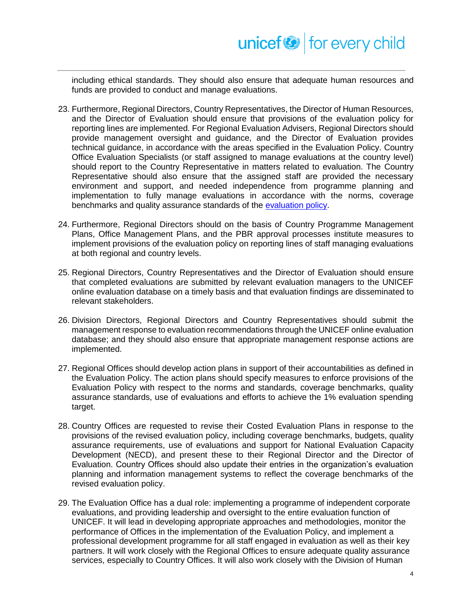including ethical standards. They should also ensure that adequate human resources and funds are provided to conduct and manage evaluations.

- 23. Furthermore, Regional Directors, Country Representatives, the Director of Human Resources, and the Director of Evaluation should ensure that provisions of the evaluation policy for reporting lines are implemented. For Regional Evaluation Advisers, Regional Directors should provide management oversight and guidance, and the Director of Evaluation provides technical guidance, in accordance with the areas specified in the Evaluation Policy. Country Office Evaluation Specialists (or staff assigned to manage evaluations at the country level) should report to the Country Representative in matters related to evaluation. The Country Representative should also ensure that the assigned staff are provided the necessary environment and support, and needed independence from programme planning and implementation to fully manage evaluations in accordance with the norms, coverage benchmarks and quality assurance standards of the [evaluation policy.](https://www.unicef.org/about/execboard/files/2018-14-Revised_Eval-ODS-EN.pdf)
- 24. Furthermore, Regional Directors should on the basis of Country Programme Management Plans, Office Management Plans, and the PBR approval processes institute measures to implement provisions of the evaluation policy on reporting lines of staff managing evaluations at both regional and country levels.
- 25. Regional Directors, Country Representatives and the Director of Evaluation should ensure that completed evaluations are submitted by relevant evaluation managers to the UNICEF online evaluation database on a timely basis and that evaluation findings are disseminated to relevant stakeholders.
- 26. Division Directors, Regional Directors and Country Representatives should submit the management response to evaluation recommendations through the UNICEF online evaluation database; and they should also ensure that appropriate management response actions are implemented.
- 27. Regional Offices should develop action plans in support of their accountabilities as defined in the Evaluation Policy. The action plans should specify measures to enforce provisions of the Evaluation Policy with respect to the norms and standards, coverage benchmarks, quality assurance standards, use of evaluations and efforts to achieve the 1% evaluation spending target.
- 28. Country Offices are requested to revise their Costed Evaluation Plans in response to the provisions of the revised evaluation policy, including coverage benchmarks, budgets, quality assurance requirements, use of evaluations and support for National Evaluation Capacity Development (NECD), and present these to their Regional Director and the Director of Evaluation. Country Offices should also update their entries in the organization's evaluation planning and information management systems to reflect the coverage benchmarks of the revised evaluation policy.
- 29. The Evaluation Office has a dual role: implementing a programme of independent corporate evaluations, and providing leadership and oversight to the entire evaluation function of UNICEF. It will lead in developing appropriate approaches and methodologies, monitor the performance of Offices in the implementation of the Evaluation Policy, and implement a professional development programme for all staff engaged in evaluation as well as their key partners. It will work closely with the Regional Offices to ensure adequate quality assurance services, especially to Country Offices. It will also work closely with the Division of Human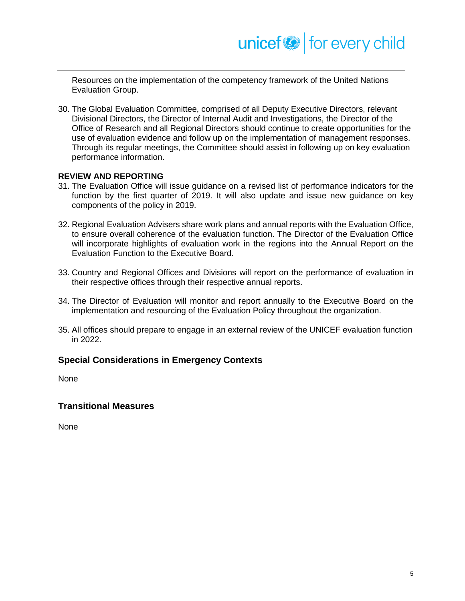Resources on the implementation of the competency framework of the United Nations Evaluation Group.

30. The Global Evaluation Committee, comprised of all Deputy Executive Directors, relevant Divisional Directors, the Director of Internal Audit and Investigations, the Director of the Office of Research and all Regional Directors should continue to create opportunities for the use of evaluation evidence and follow up on the implementation of management responses. Through its regular meetings, the Committee should assist in following up on key evaluation performance information.

### **REVIEW AND REPORTING**

- 31. The Evaluation Office will issue guidance on a revised list of performance indicators for the function by the first quarter of 2019. It will also update and issue new guidance on key components of the policy in 2019.
- 32. Regional Evaluation Advisers share work plans and annual reports with the Evaluation Office, to ensure overall coherence of the evaluation function. The Director of the Evaluation Office will incorporate highlights of evaluation work in the regions into the Annual Report on the Evaluation Function to the Executive Board.
- 33. Country and Regional Offices and Divisions will report on the performance of evaluation in their respective offices through their respective annual reports.
- 34. The Director of Evaluation will monitor and report annually to the Executive Board on the implementation and resourcing of the Evaluation Policy throughout the organization.
- 35. All offices should prepare to engage in an external review of the UNICEF evaluation function in 2022.

## **Special Considerations in Emergency Contexts**

None

## **Transitional Measures**

None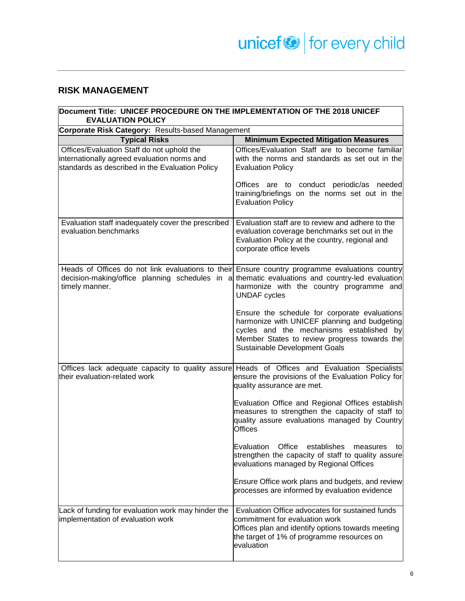# **RISK MANAGEMENT**

| Document Title: UNICEF PROCEDURE ON THE IMPLEMENTATION OF THE 2018 UNICEF<br><b>EVALUATION POLICY</b>                                                                                                              |                                                                                                                                                                                                                            |  |
|--------------------------------------------------------------------------------------------------------------------------------------------------------------------------------------------------------------------|----------------------------------------------------------------------------------------------------------------------------------------------------------------------------------------------------------------------------|--|
| Corporate Risk Category: Results-based Management                                                                                                                                                                  |                                                                                                                                                                                                                            |  |
| <b>Typical Risks</b>                                                                                                                                                                                               | <b>Minimum Expected Mitigation Measures</b>                                                                                                                                                                                |  |
| Offices/Evaluation Staff do not uphold the<br>internationally agreed evaluation norms and<br>standards as described in the Evaluation Policy                                                                       | Offices/Evaluation Staff are to become familiar<br>with the norms and standards as set out in the<br><b>Evaluation Policy</b>                                                                                              |  |
|                                                                                                                                                                                                                    | Offices are to conduct periodic/as needed<br>training/briefings on the norms set out in the<br><b>Evaluation Policy</b>                                                                                                    |  |
| Evaluation staff inadequately cover the prescribed<br>evaluation benchmarks                                                                                                                                        | Evaluation staff are to review and adhere to the<br>evaluation coverage benchmarks set out in the<br>Evaluation Policy at the country, regional and<br>corporate office levels                                             |  |
| Heads of Offices do not link evaluations to their Ensure country programme evaluations country<br>decision-making/office planning schedules in a thematic evaluations and country-led evaluation<br>timely manner. | harmonize with the country programme and<br><b>UNDAF</b> cycles                                                                                                                                                            |  |
|                                                                                                                                                                                                                    | Ensure the schedule for corporate evaluations<br>harmonize with UNICEF planning and budgeting<br>cycles and the mechanisms established by<br>Member States to review progress towards the<br>Sustainable Development Goals |  |
| Offices lack adequate capacity to quality assure Heads of Offices and Evaluation Specialists<br>their evaluation-related work                                                                                      | ensure the provisions of the Evaluation Policy for<br>quality assurance are met.                                                                                                                                           |  |
|                                                                                                                                                                                                                    | Evaluation Office and Regional Offices establish<br>measures to strengthen the capacity of staff to<br>quality assure evaluations managed by Country<br><b>Offices</b>                                                     |  |
|                                                                                                                                                                                                                    | Evaluation Office establishes measures to<br>strengthen the capacity of staff to quality assure<br>evaluations managed by Regional Offices                                                                                 |  |
|                                                                                                                                                                                                                    | Ensure Office work plans and budgets, and review<br>processes are informed by evaluation evidence                                                                                                                          |  |
| Lack of funding for evaluation work may hinder the<br>implementation of evaluation work                                                                                                                            | Evaluation Office advocates for sustained funds<br>commitment for evaluation work<br>Offices plan and identify options towards meeting<br>the target of 1% of programme resources on<br>evaluation                         |  |